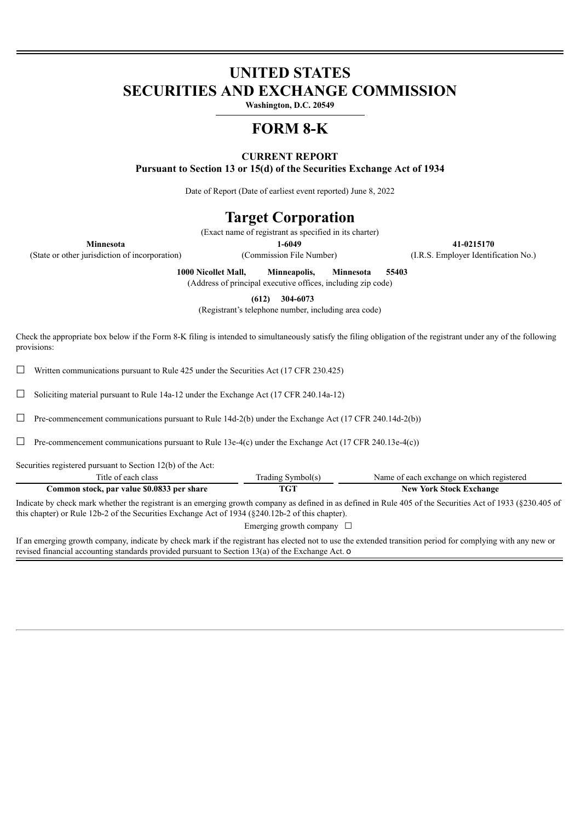# **UNITED STATES SECURITIES AND EXCHANGE COMMISSION**

**Washington, D.C. 20549**

## **FORM 8-K**

### **CURRENT REPORT**

**Pursuant to Section 13 or 15(d) of the Securities Exchange Act of 1934**

Date of Report (Date of earliest event reported) June 8, 2022

### **Target Corporation**

(Exact name of registrant as specified in its charter)

**Minnesota 1-6049 41-0215170**

(State or other jurisdiction of incorporation) (Commission File Number) (I.R.S. Employer Identification No.)

**1000 Nicollet Mall, Minneapolis, Minnesota 55403**

(Address of principal executive offices, including zip code)

**(612) 304-6073**

(Registrant's telephone number, including area code)

Check the appropriate box below if the Form 8-K filing is intended to simultaneously satisfy the filing obligation of the registrant under any of the following provisions:

 $\Box$  Written communications pursuant to Rule 425 under the Securities Act (17 CFR 230.425)

 $\Box$  Soliciting material pursuant to Rule 14a-12 under the Exchange Act (17 CFR 240.14a-12)

 $\Box$  Pre-commencement communications pursuant to Rule 14d-2(b) under the Exchange Act (17 CFR 240.14d-2(b))

☐ Pre-commencement communications pursuant to Rule 13e-4(c) under the Exchange Act (17 CFR 240.13e-4(c))

Securities registered pursuant to Section 12(b) of the Act:

| Title of each class                                                                                                                                                                                                                                              | Trading Symbol(s) | Name of each exchange on which registered |
|------------------------------------------------------------------------------------------------------------------------------------------------------------------------------------------------------------------------------------------------------------------|-------------------|-------------------------------------------|
| Common stock, par value \$0.0833 per share                                                                                                                                                                                                                       | TGT               | <b>New York Stock Exchange</b>            |
| Indicate by check mark whether the registrant is an emerging growth company as defined in as defined in Rule 405 of the Securities Act of 1933 (§230.405 of<br>this chapter) or Rule 12b-2 of the Securities Exchange Act of 1934 (\$240.12b-2 of this chapter). |                   |                                           |

Emerging growth company  $\Box$ 

If an emerging growth company, indicate by check mark if the registrant has elected not to use the extended transition period for complying with any new or revised financial accounting standards provided pursuant to Section 13(a) of the Exchange Act. o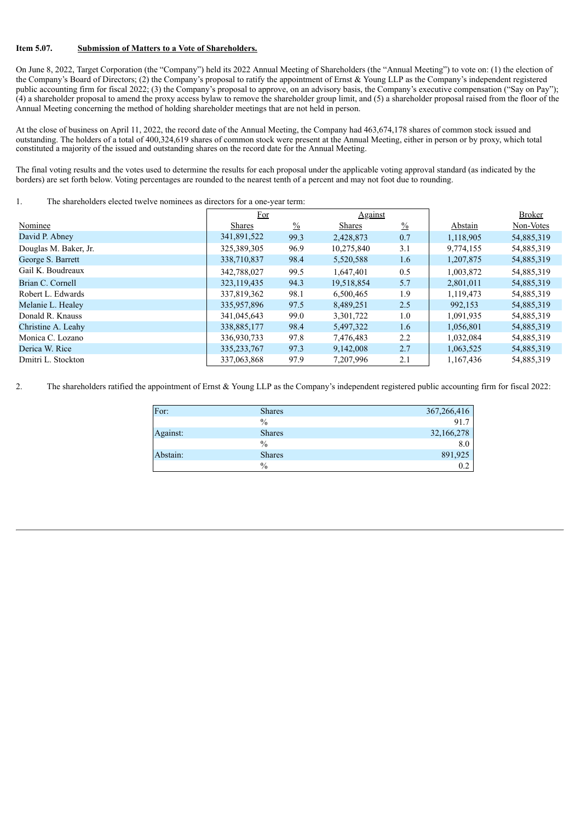#### **Item 5.07. Submission of Matters to a Vote of Shareholders.**

On June 8, 2022, Target Corporation (the "Company") held its 2022 Annual Meeting of Shareholders (the "Annual Meeting") to vote on: (1) the election of the Company's Board of Directors; (2) the Company's proposal to ratify the appointment of Ernst & Young LLP as the Company's independent registered public accounting firm for fiscal 2022; (3) the Company's proposal to approve, on an advisory basis, the Company's executive compensation ("Say on Pay"); (4) a shareholder proposal to amend the proxy access bylaw to remove the shareholder group limit, and (5) a shareholder proposal raised from the floor of the Annual Meeting concerning the method of holding shareholder meetings that are not held in person.

At the close of business on April 11, 2022, the record date of the Annual Meeting, the Company had 463,674,178 shares of common stock issued and outstanding. The holders of a total of 400,324,619 shares of common stock were present at the Annual Meeting, either in person or by proxy, which total constituted a majority of the issued and outstanding shares on the record date for the Annual Meeting.

The final voting results and the votes used to determine the results for each proposal under the applicable voting approval standard (as indicated by the borders) are set forth below. Voting percentages are rounded to the nearest tenth of a percent and may not foot due to rounding.

#### 1. The shareholders elected twelve nominees as directors for a one-year term:

|                       | For           |               | <b>Against</b> |               |           | <b>Broker</b> |
|-----------------------|---------------|---------------|----------------|---------------|-----------|---------------|
| Nominee               | Shares        | $\frac{0}{0}$ | <b>Shares</b>  | $\frac{0}{0}$ | Abstain   | Non-Votes     |
| David P. Abney        | 341,891,522   | 99.3          | 2,428,873      | 0.7           | 1,118,905 | 54,885,319    |
| Douglas M. Baker, Jr. | 325,389,305   | 96.9          | 10,275,840     | 3.1           | 9,774,155 | 54,885,319    |
| George S. Barrett     | 338,710,837   | 98.4          | 5,520,588      | 1.6           | 1,207,875 | 54,885,319    |
| Gail K. Boudreaux     | 342,788,027   | 99.5          | 1,647,401      | 0.5           | 1,003,872 | 54,885,319    |
| Brian C. Cornell      | 323, 119, 435 | 94.3          | 19,518,854     | 5.7           | 2,801,011 | 54,885,319    |
| Robert L. Edwards     | 337,819,362   | 98.1          | 6,500,465      | 1.9           | 1,119,473 | 54,885,319    |
| Melanie L. Healey     | 335,957,896   | 97.5          | 8,489,251      | 2.5           | 992,153   | 54,885,319    |
| Donald R. Knauss      | 341,045,643   | 99.0          | 3,301,722      | 1.0           | 1,091,935 | 54,885,319    |
| Christine A. Leahy    | 338,885,177   | 98.4          | 5,497,322      | 1.6           | 1,056,801 | 54,885,319    |
| Monica C. Lozano      | 336,930,733   | 97.8          | 7,476,483      | 2.2           | 1,032,084 | 54,885,319    |
| Derica W. Rice        | 335, 233, 767 | 97.3          | 9,142,008      | 2.7           | 1,063,525 | 54,885,319    |
| Dmitri L. Stockton    | 337,063,868   | 97.9          | 7,207,996      | 2.1           | 1,167,436 | 54,885,319    |

2. The shareholders ratified the appointment of Ernst & Young LLP as the Company's independent registered public accounting firm for fiscal 2022:

| For:     | <b>Shares</b> | 367,266,416 |
|----------|---------------|-------------|
|          | $\%$          | 91.7        |
| Against: | <b>Shares</b> | 32,166,278  |
|          | $\%$          | 8.0         |
| Abstain: | <b>Shares</b> | 891,925     |
|          | $\%$          | 0.2         |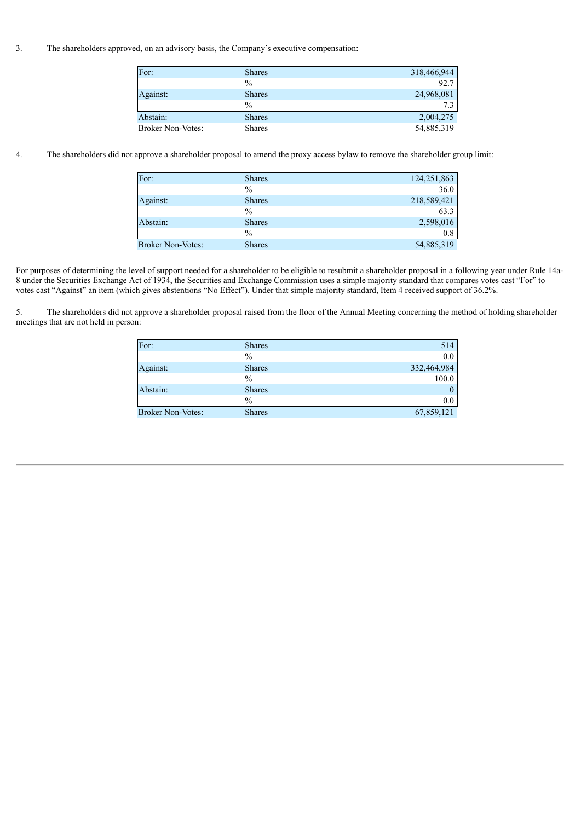3. The shareholders approved, on an advisory basis, the Company's executive compensation:

| For:                     | <b>Shares</b> | 318,466,944 |
|--------------------------|---------------|-------------|
|                          | $\%$          | 92.7        |
| Against:                 | <b>Shares</b> | 24,968,081  |
|                          | $\frac{0}{0}$ | 7.3         |
| Abstain:                 | <b>Shares</b> | 2,004,275   |
| <b>Broker Non-Votes:</b> | <b>Shares</b> | 54,885,319  |

4. The shareholders did not approve a shareholder proposal to amend the proxy access bylaw to remove the shareholder group limit:

| For:              | <b>Shares</b> | 124,251,863 |
|-------------------|---------------|-------------|
|                   | $\frac{0}{0}$ | 36.0        |
| Against:          | <b>Shares</b> | 218,589,421 |
|                   | $\frac{0}{0}$ | 63.3        |
| Abstain:          | <b>Shares</b> | 2,598,016   |
|                   | $\%$          | 0.8         |
| Broker Non-Votes: | <b>Shares</b> | 54,885,319  |

For purposes of determining the level of support needed for a shareholder to be eligible to resubmit a shareholder proposal in a following year under Rule 14a-8 under the Securities Exchange Act of 1934, the Securities and Exchange Commission uses a simple majority standard that compares votes cast "For" to votes cast "Against" an item (which gives abstentions "No Effect"). Under that simple majority standard, Item 4 received support of 36.2%.

5. The shareholders did not approve a shareholder proposal raised from the floor of the Annual Meeting concerning the method of holding shareholder meetings that are not held in person:

| For:                     | <b>Shares</b> | 514         |
|--------------------------|---------------|-------------|
|                          | $\frac{0}{0}$ | 0.0         |
| Against:                 | <b>Shares</b> | 332,464,984 |
|                          | $\frac{0}{0}$ | 100.0       |
| Abstain:                 | <b>Shares</b> | $\theta$    |
|                          | $\frac{0}{0}$ | 0.0         |
| <b>Broker Non-Votes:</b> | <b>Shares</b> | 67,859,121  |
|                          |               |             |